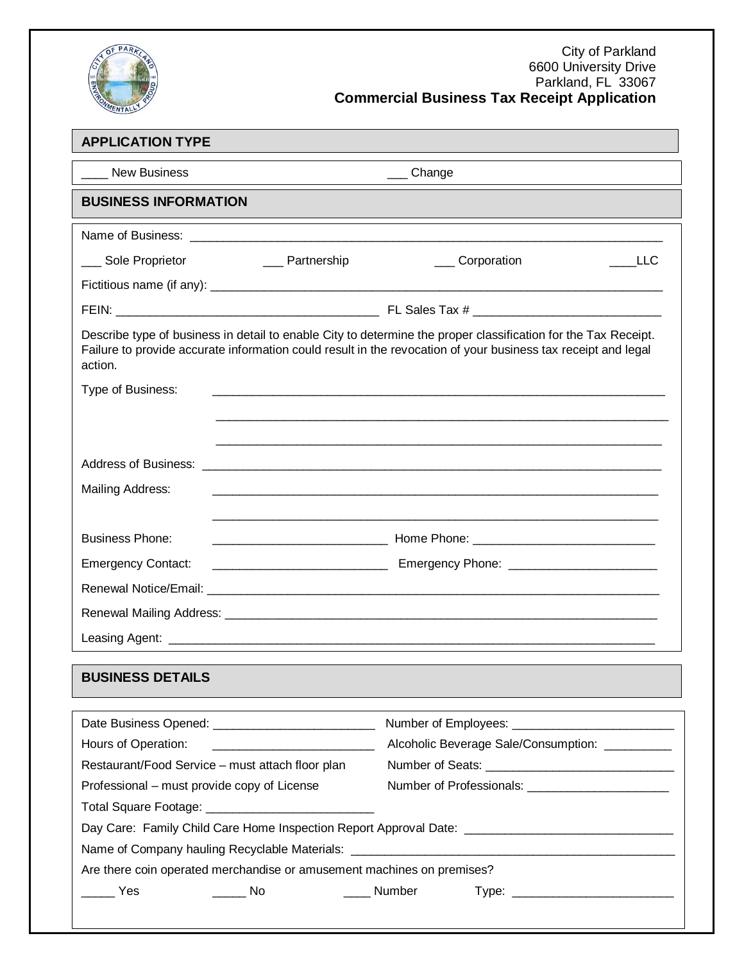

| <b>APPLICATION TYPE</b>                                                                                                                                                                                                                    |                                                                                                                       |  |
|--------------------------------------------------------------------------------------------------------------------------------------------------------------------------------------------------------------------------------------------|-----------------------------------------------------------------------------------------------------------------------|--|
| <b>New Business</b>                                                                                                                                                                                                                        | ___ Change                                                                                                            |  |
| <b>BUSINESS INFORMATION</b>                                                                                                                                                                                                                |                                                                                                                       |  |
|                                                                                                                                                                                                                                            |                                                                                                                       |  |
| <b>Example 2</b> Partnership<br>___ Sole Proprietor                                                                                                                                                                                        | ___ Corporation<br><b>LLC</b>                                                                                         |  |
|                                                                                                                                                                                                                                            |                                                                                                                       |  |
|                                                                                                                                                                                                                                            |                                                                                                                       |  |
| Describe type of business in detail to enable City to determine the proper classification for the Tax Receipt.<br>Failure to provide accurate information could result in the revocation of your business tax receipt and legal<br>action. |                                                                                                                       |  |
| Type of Business:                                                                                                                                                                                                                          | <u> 1980 - Johann Stoff, deutscher Stoff, der Stoff, der Stoff, der Stoff, der Stoff, der Stoff, der Stoff, der S</u> |  |
|                                                                                                                                                                                                                                            |                                                                                                                       |  |
|                                                                                                                                                                                                                                            |                                                                                                                       |  |
|                                                                                                                                                                                                                                            |                                                                                                                       |  |
| <b>Mailing Address:</b>                                                                                                                                                                                                                    | <u> 1989 - Johann Stoff, deutscher Stoff, der Stoff, der Stoff, der Stoff, der Stoff, der Stoff, der Stoff, der S</u> |  |
|                                                                                                                                                                                                                                            |                                                                                                                       |  |
| <b>Business Phone:</b>                                                                                                                                                                                                                     |                                                                                                                       |  |
| <b>Emergency Contact:</b>                                                                                                                                                                                                                  |                                                                                                                       |  |
|                                                                                                                                                                                                                                            |                                                                                                                       |  |
|                                                                                                                                                                                                                                            |                                                                                                                       |  |
|                                                                                                                                                                                                                                            |                                                                                                                       |  |
|                                                                                                                                                                                                                                            |                                                                                                                       |  |
| <b>BUSINESS DETAILS</b>                                                                                                                                                                                                                    |                                                                                                                       |  |
|                                                                                                                                                                                                                                            |                                                                                                                       |  |
| Hours of Operation:                                                                                                                                                                                                                        | Alcoholic Beverage Sale/Consumption: _________                                                                        |  |
| Restaurant/Food Service - must attach floor plan                                                                                                                                                                                           |                                                                                                                       |  |
| Professional – must provide copy of License                                                                                                                                                                                                | Number of Professionals: __________________________                                                                   |  |
|                                                                                                                                                                                                                                            |                                                                                                                       |  |
| Day Care: Family Child Care Home Inspection Report Approval Date: _________________________________                                                                                                                                        |                                                                                                                       |  |
| Are there coin operated merchandise or amusement machines on premises?                                                                                                                                                                     |                                                                                                                       |  |
| Yes Yes<br>________ No                                                                                                                                                                                                                     | ____ Number                                                                                                           |  |
|                                                                                                                                                                                                                                            |                                                                                                                       |  |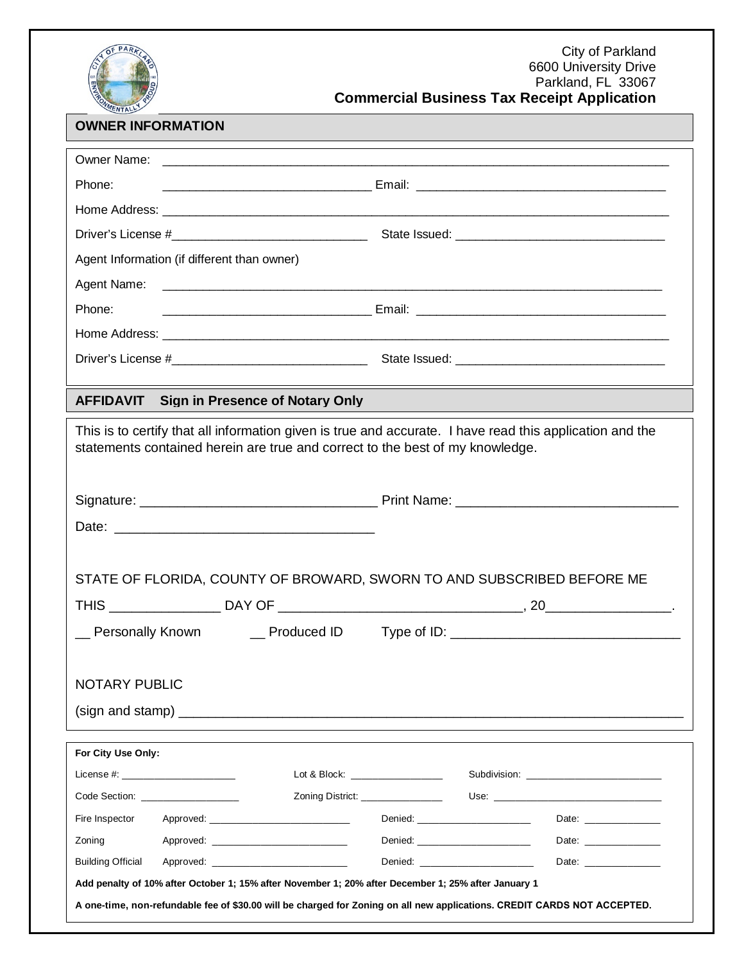

## City of Parkland 6600 University Drive Parkland, FL 33067

|                                                                                                                                                                                           | <b>Commercial Business Tax Receipt Application</b>                                                                                                                                                                                                                                                                                                                                                                                                               |  |
|-------------------------------------------------------------------------------------------------------------------------------------------------------------------------------------------|------------------------------------------------------------------------------------------------------------------------------------------------------------------------------------------------------------------------------------------------------------------------------------------------------------------------------------------------------------------------------------------------------------------------------------------------------------------|--|
| <b>OWNER INFORMATION</b>                                                                                                                                                                  |                                                                                                                                                                                                                                                                                                                                                                                                                                                                  |  |
|                                                                                                                                                                                           |                                                                                                                                                                                                                                                                                                                                                                                                                                                                  |  |
| Phone:                                                                                                                                                                                    |                                                                                                                                                                                                                                                                                                                                                                                                                                                                  |  |
|                                                                                                                                                                                           |                                                                                                                                                                                                                                                                                                                                                                                                                                                                  |  |
|                                                                                                                                                                                           |                                                                                                                                                                                                                                                                                                                                                                                                                                                                  |  |
| Agent Information (if different than owner)                                                                                                                                               |                                                                                                                                                                                                                                                                                                                                                                                                                                                                  |  |
|                                                                                                                                                                                           |                                                                                                                                                                                                                                                                                                                                                                                                                                                                  |  |
| Phone:                                                                                                                                                                                    |                                                                                                                                                                                                                                                                                                                                                                                                                                                                  |  |
|                                                                                                                                                                                           |                                                                                                                                                                                                                                                                                                                                                                                                                                                                  |  |
|                                                                                                                                                                                           |                                                                                                                                                                                                                                                                                                                                                                                                                                                                  |  |
| <b>AFFIDAVIT</b><br><b>Sign in Presence of Notary Only</b>                                                                                                                                |                                                                                                                                                                                                                                                                                                                                                                                                                                                                  |  |
| This is to certify that all information given is true and accurate. I have read this application and the<br>statements contained herein are true and correct to the best of my knowledge. |                                                                                                                                                                                                                                                                                                                                                                                                                                                                  |  |
|                                                                                                                                                                                           |                                                                                                                                                                                                                                                                                                                                                                                                                                                                  |  |
|                                                                                                                                                                                           |                                                                                                                                                                                                                                                                                                                                                                                                                                                                  |  |
|                                                                                                                                                                                           |                                                                                                                                                                                                                                                                                                                                                                                                                                                                  |  |
|                                                                                                                                                                                           |                                                                                                                                                                                                                                                                                                                                                                                                                                                                  |  |
| STATE OF FLORIDA, COUNTY OF BROWARD, SWORN TO AND SUBSCRIBED BEFORE ME                                                                                                                    |                                                                                                                                                                                                                                                                                                                                                                                                                                                                  |  |
|                                                                                                                                                                                           |                                                                                                                                                                                                                                                                                                                                                                                                                                                                  |  |
| Personally Known _____ Produced ID                                                                                                                                                        |                                                                                                                                                                                                                                                                                                                                                                                                                                                                  |  |
|                                                                                                                                                                                           |                                                                                                                                                                                                                                                                                                                                                                                                                                                                  |  |
| <b>NOTARY PUBLIC</b>                                                                                                                                                                      |                                                                                                                                                                                                                                                                                                                                                                                                                                                                  |  |
|                                                                                                                                                                                           |                                                                                                                                                                                                                                                                                                                                                                                                                                                                  |  |
|                                                                                                                                                                                           |                                                                                                                                                                                                                                                                                                                                                                                                                                                                  |  |
| For City Use Only:                                                                                                                                                                        |                                                                                                                                                                                                                                                                                                                                                                                                                                                                  |  |
|                                                                                                                                                                                           | Lot & Block: the contract of the contract of the contract of the contract of the contract of the contract of the contract of the contract of the contract of the contract of the contract of the contract of the contract of t<br>Subdivision: View Management Communication of the Subdivision:                                                                                                                                                                 |  |
| Code Section: The Code Section:                                                                                                                                                           | Zoning District: ___________________                                                                                                                                                                                                                                                                                                                                                                                                                             |  |
| Fire Inspector                                                                                                                                                                            | Denied: ______________________                                                                                                                                                                                                                                                                                                                                                                                                                                   |  |
| Approved:<br>Zoning                                                                                                                                                                       | Denied: ______________________<br>Date: _______________                                                                                                                                                                                                                                                                                                                                                                                                          |  |
| <b>Building Official</b><br>Approved: Approved:                                                                                                                                           | Denied: the contract of the contract of the contract of the contract of the contract of the contract of the contract of the contract of the contract of the contract of the contract of the contract of the contract of the co<br>Date: the contract of the contract of the contract of the contract of the contract of the contract of the contract of the contract of the contract of the contract of the contract of the contract of the contract of the cont |  |
| Add penalty of 10% after October 1; 15% after November 1; 20% after December 1; 25% after January 1                                                                                       |                                                                                                                                                                                                                                                                                                                                                                                                                                                                  |  |
| A one-time, non-refundable fee of \$30.00 will be charged for Zoning on all new applications. CREDIT CARDS NOT ACCEPTED.                                                                  |                                                                                                                                                                                                                                                                                                                                                                                                                                                                  |  |